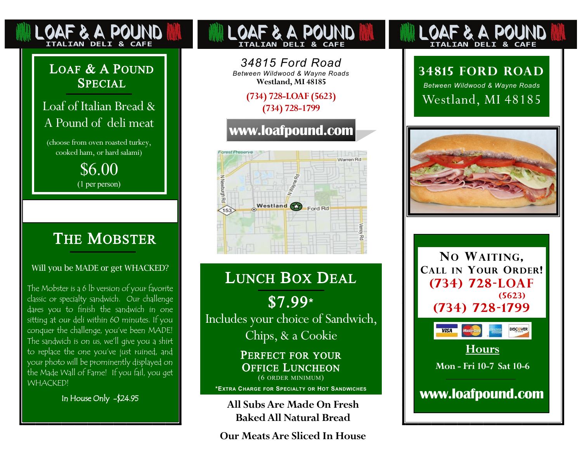### LOAF & A POUND **SPECIAL**

OAF & A POUNI **ITALIAN DELI & CAFE** 

### Loaf of Italian Bread & A Pound of deli meat

(choose from oven roasted turkey, cooked ham, or hard salami)

> \$6.00 (1 per person)

### **THE MOBSTER**

#### Will you be MADE or get WHACKED?

The Mobster is a 6 lb version of your favorite classic or specialty sandwich. Our challenge dares you to finish the sandwich in one sitting at our deli within 60 minutes. If you conquer the challenge, you've been MADE! The sandwich is on us, we'll give you a shirt to replace the one you've just ruined, and your photo will be prominently displayed on the Made Wall of Fame! If you fail, you get WHACKED!

In House Only -\$24.95

# **DELT**

*34815 Ford Road Between Wildwood & Wayne Roads* **Westland, MI 48185**

> **(734) 728-LOAF (5623) (734) 728-1799**

### **www.loafpound.com**



# LUNCH BOX DEAL

\$7.99**\*** Includes your choice of Sandwich, Chips, & a Cookie

> PERFECT FOR YOUR OFFICE LUNCHEON (6 ORDER MINIMUM)

**\*EXTRA <sup>C</sup>HARGE FOR <sup>S</sup>PECIALTY OR <sup>H</sup>OT <sup>S</sup>ANDWICHES**

**All Subs Are Made On Fresh Baked All Natural Bread**

**Our Meats Are Sliced In House**

# **ITALIAN DELI & CAFE**

### **34815 Ford Road**

*Between Wildwood & Wayne Roads* Westland, MI 48185







**Hours**

**Mon - Fri 10-7 Sat 10-6** 

**www.loafpound.com**